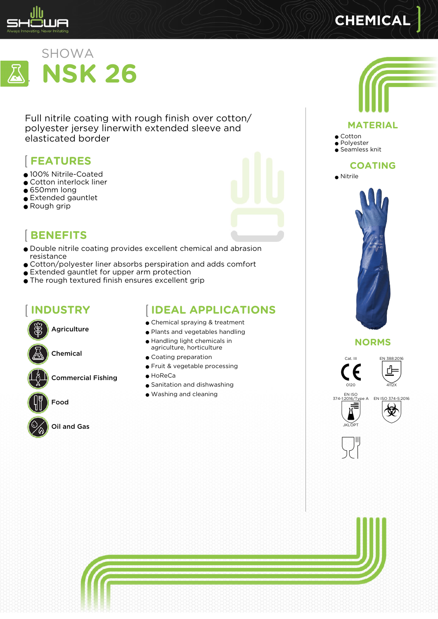

# **CHEMICAL**



Full nitrile coating with rough finish over cotton/ polyester jersey linerwith extended sleeve and elasticated border

# **FEATURES**

- 100% Nitrile-Coated
- Cotton interlock liner
- 650mm long
- Extended gauntlet
- Rough grip



- Double nitrile coating provides excellent chemical and abrasion resistance
- Cotton/polyester liner absorbs perspiration and adds comfort
- Extended gauntlet for upper arm protection
- The rough textured finish ensures excellent grip

# **INDUSTRY**



Chemical

Commercial Fishing



Food



Oil and Gas

#### **IDEAL APPLICATIONS**

- Chemical spraying & treatment
- Plants and vegetables handling
- Handling light chemicals in agriculture, horticulture
- Coating preparation
- Fruit & vegetable processing
- $\bullet$  HoReCa
- Sanitation and dishwashing
- Washing and cleaning



#### **MATERIAL**

● Cotton

● Polyester ● Seamless knit

#### **COATING**



#### **NORMS**